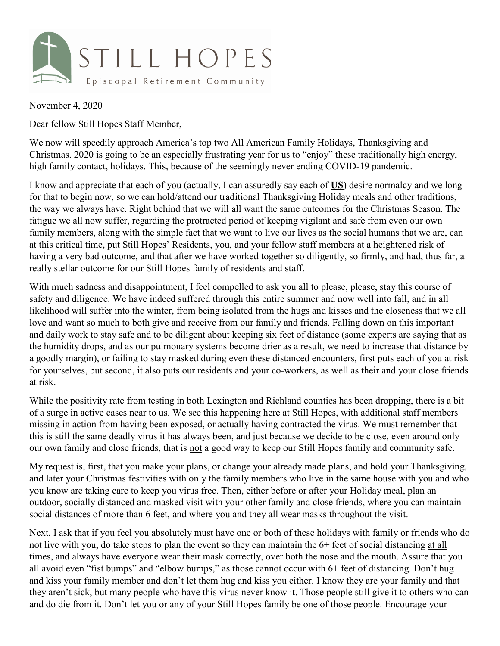

November 4, 2020

Dear fellow Still Hopes Staff Member,

We now will speedily approach America's top two All American Family Holidays, Thanksgiving and Christmas. 2020 is going to be an especially frustrating year for us to "enjoy" these traditionally high energy, high family contact, holidays. This, because of the seemingly never ending COVID-19 pandemic.

I know and appreciate that each of you (actually, I can assuredly say each of **US**) desire normalcy and we long for that to begin now, so we can hold/attend our traditional Thanksgiving Holiday meals and other traditions, the way we always have. Right behind that we will all want the same outcomes for the Christmas Season. The fatigue we all now suffer, regarding the protracted period of keeping vigilant and safe from even our own family members, along with the simple fact that we want to live our lives as the social humans that we are, can at this critical time, put Still Hopes' Residents, you, and your fellow staff members at a heightened risk of having a very bad outcome, and that after we have worked together so diligently, so firmly, and had, thus far, a really stellar outcome for our Still Hopes family of residents and staff.

With much sadness and disappointment, I feel compelled to ask you all to please, please, stay this course of safety and diligence. We have indeed suffered through this entire summer and now well into fall, and in all likelihood will suffer into the winter, from being isolated from the hugs and kisses and the closeness that we all love and want so much to both give and receive from our family and friends. Falling down on this important and daily work to stay safe and to be diligent about keeping six feet of distance (some experts are saying that as the humidity drops, and as our pulmonary systems become drier as a result, we need to increase that distance by a goodly margin), or failing to stay masked during even these distanced encounters, first puts each of you at risk for yourselves, but second, it also puts our residents and your co-workers, as well as their and your close friends at risk.

While the positivity rate from testing in both Lexington and Richland counties has been dropping, there is a bit of a surge in active cases near to us. We see this happening here at Still Hopes, with additional staff members missing in action from having been exposed, or actually having contracted the virus. We must remember that this is still the same deadly virus it has always been, and just because we decide to be close, even around only our own family and close friends, that is not a good way to keep our Still Hopes family and community safe.

My request is, first, that you make your plans, or change your already made plans, and hold your Thanksgiving, and later your Christmas festivities with only the family members who live in the same house with you and who you know are taking care to keep you virus free. Then, either before or after your Holiday meal, plan an outdoor, socially distanced and masked visit with your other family and close friends, where you can maintain social distances of more than 6 feet, and where you and they all wear masks throughout the visit.

Next, I ask that if you feel you absolutely must have one or both of these holidays with family or friends who do not live with you, do take steps to plan the event so they can maintain the 6+ feet of social distancing at all times, and always have everyone wear their mask correctly, over both the nose and the mouth. Assure that you all avoid even "fist bumps" and "elbow bumps," as those cannot occur with 6+ feet of distancing. Don't hug and kiss your family member and don't let them hug and kiss you either. I know they are your family and that they aren't sick, but many people who have this virus never know it. Those people still give it to others who can and do die from it. Don't let you or any of your Still Hopes family be one of those people. Encourage your